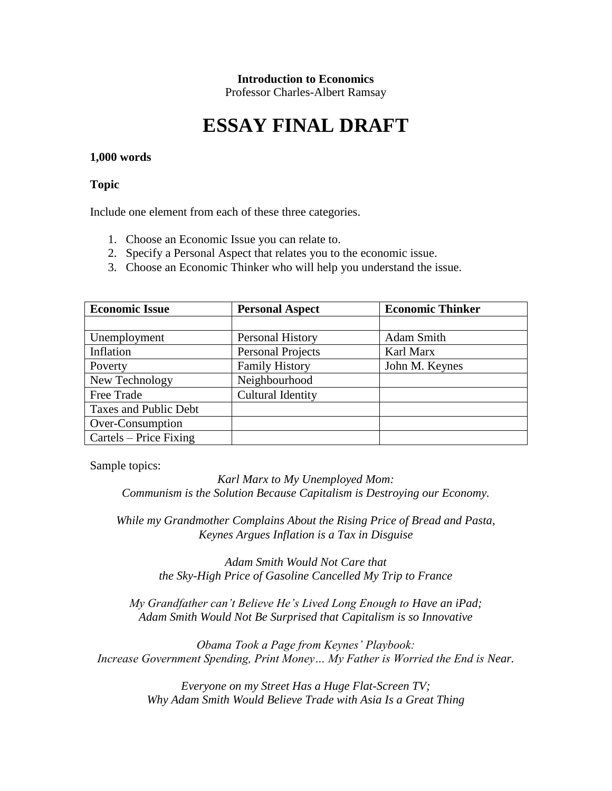#### **Introduction to Economics**

Professor Charles-Albert Ramsay

# **ESSAY FINAL DRAFT**

#### **1,000 words**

#### **Topic**

Include one element from each of these three categories.

- 1. Choose an Economic Issue you can relate to.
- 2. Specify a Personal Aspect that relates you to the economic issue.
- 3. Choose an Economic Thinker who will help you understand the issue.

| <b>Economic Issue</b>  | <b>Personal Aspect</b>   | <b>Economic Thinker</b> |
|------------------------|--------------------------|-------------------------|
|                        |                          |                         |
| Unemployment           | Personal History         | Adam Smith              |
| Inflation              | <b>Personal Projects</b> | Karl Marx               |
| Poverty                | <b>Family History</b>    | John M. Keynes          |
| New Technology         | Neighbourhood            |                         |
| Free Trade             | <b>Cultural Identity</b> |                         |
| Taxes and Public Debt  |                          |                         |
| Over-Consumption       |                          |                         |
| Cartels – Price Fixing |                          |                         |

Sample topics:

*Karl Marx to My Unemployed Mom: Communism is the Solution Because Capitalism is Destroying our Economy.*

*While my Grandmother Complains About the Rising Price of Bread and Pasta, Keynes Argues Inflation is a Tax in Disguise*

> *Adam Smith Would Not Care that the Sky-High Price of Gasoline Cancelled My Trip to France*

*My Grandfather can't Believe He's Lived Long Enough to Have an iPad; Adam Smith Would Not Be Surprised that Capitalism is so Innovative*

*Obama Took a Page from Keynes' Playbook: Increase Government Spending, Print Money… My Father is Worried the End is Near.*

> *Everyone on my Street Has a Huge Flat-Screen TV; Why Adam Smith Would Believe Trade with Asia Is a Great Thing*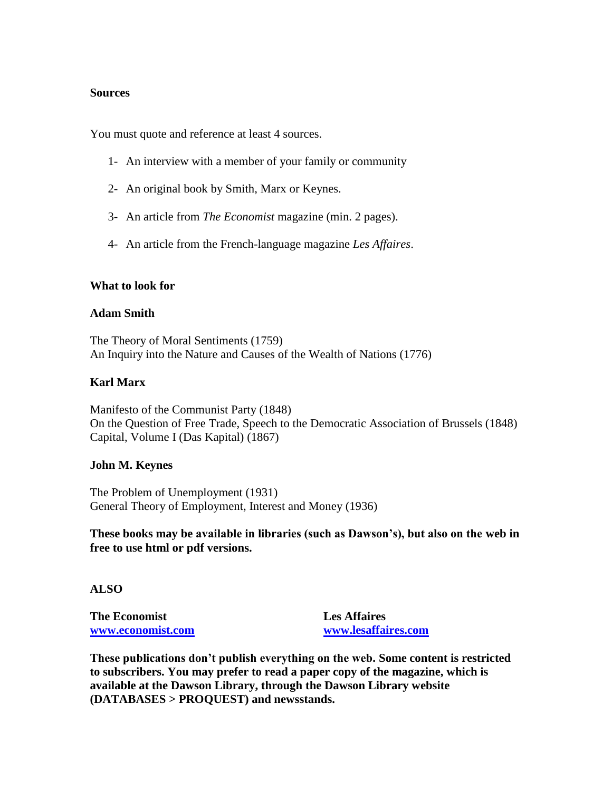#### **Sources**

You must quote and reference at least 4 sources.

- 1- An interview with a member of your family or community
- 2- An original book by Smith, Marx or Keynes.
- 3- An article from *The Economist* magazine (min. 2 pages).
- 4- An article from the French-language magazine *Les Affaires*.

#### **What to look for**

#### **Adam Smith**

The Theory of Moral Sentiments (1759) An Inquiry into the Nature and Causes of the Wealth of Nations (1776)

# **Karl Marx**

Manifesto of the Communist Party (1848) On the Question of Free Trade, Speech to the Democratic Association of Brussels (1848) Capital, Volume I (Das Kapital) (1867)

#### **John M. Keynes**

The Problem of Unemployment (1931) General Theory of Employment, Interest and Money (1936)

**These books may be available in libraries (such as Dawson's), but also on the web in free to use html or pdf versions.**

# **ALSO**

**The Economist [www.economist.com](http://www.economist.com/)** **Les Affaires [www.lesaffaires.com](http://www.lesaffaires.com/)**

**These publications don't publish everything on the web. Some content is restricted to subscribers. You may prefer to read a paper copy of the magazine, which is available at the Dawson Library, through the Dawson Library website (DATABASES > PROQUEST) and newsstands.**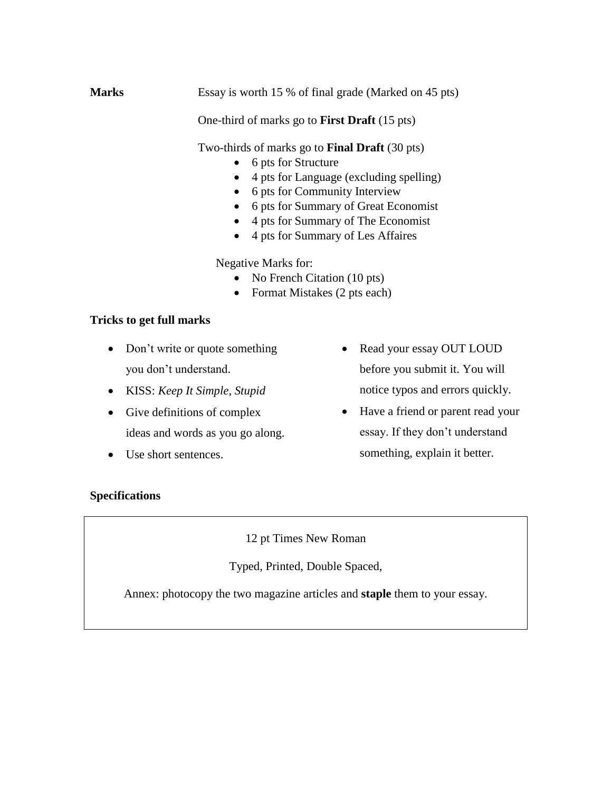**Marks** Essay is worth 15 % of final grade (Marked on 45 pts)

One-third of marks go to **First Draft** (15 pts)

Two-thirds of marks go to **Final Draft** (30 pts)

- 6 pts for Structure
- 4 pts for Language (excluding spelling)
- 6 pts for Community Interview
- 6 pts for Summary of Great Economist
- 4 pts for Summary of The Economist
- 4 pts for Summary of Les Affaires

Negative Marks for:

- No French Citation (10 pts)
- Format Mistakes (2 pts each)

# **Tricks to get full marks**

- Don't write or quote something you don't understand.
- KISS: *Keep It Simple, Stupid*
- Give definitions of complex ideas and words as you go along.
- Use short sentences.
- Read your essay OUT LOUD before you submit it. You will notice typos and errors quickly.
- Have a friend or parent read your essay. If they don't understand something, explain it better.

# **Specifications**

12 pt Times New Roman

Typed, Printed, Double Spaced,

Annex: photocopy the two magazine articles and **staple** them to your essay.